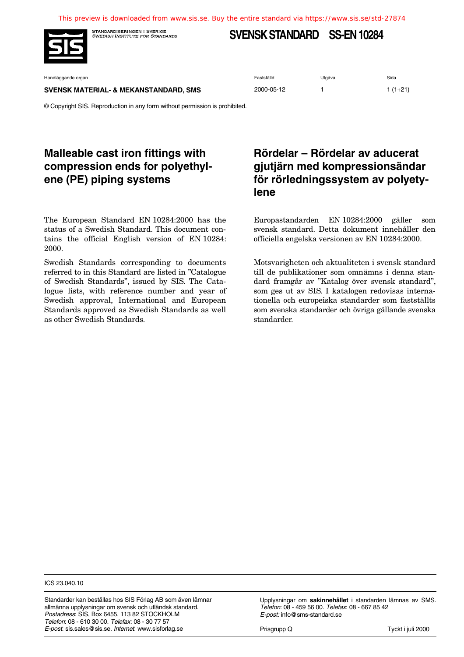

STANDARDISERINGEN I SVERIGE **SWEDISH INSTITUTE FOR STANDARDS** 

# **SVENSK STANDARD SS-EN 10284**

Handläggande organ Fastställd Utgåva Sida

**SVENSK MATERIAL- & MEKANSTANDARD, SMS** 2000-05-12 1 1 (1+21)

© Copyright SIS. Reproduction in any form without permission is prohibited.

# **Malleable cast iron fittings with compression ends for polyethylene (PE) piping systems**

The European Standard EN 10284:2000 has the status of a Swedish Standard. This document contains the official English version of EN 10284: 2000.

Swedish Standards corresponding to documents referred to in this Standard are listed in "Catalogue of Swedish Standards", issued by SIS. The Catalogue lists, with reference number and year of Swedish approval, International and European Standards approved as Swedish Standards as well as other Swedish Standards.

# **Rördelar – Rördelar av aducerat gjutjärn med kompressionsändar för rörledningssystem av polyetylene**

Europastandarden EN 10284:2000 gäller som svensk standard. Detta dokument innehåller den officiella engelska versionen av EN 10284:2000.

Motsvarigheten och aktualiteten i svensk standard till de publikationer som omnämns i denna standard framgår av "Katalog över svensk standard", som ges ut av SIS. I katalogen redovisas internationella och europeiska standarder som fastställts som svenska standarder och övriga gällande svenska standarder.

ICS 23.040.10

Standarder kan beställas hos SIS Förlag AB som även lämnar allmänna upplysningar om svensk och utländsk standard. *Postadress*: SIS, Box 6455, 113 82 STOCKHOLM *Telefon*: 08 - 610 30 00. *Telefax*: 08 - 30 77 57 *E-post*: sis.sales@sis.se. *Internet*: www.sisforlag.se

Upplysningar om **sakinnehållet** i standarden lämnas av SMS. *Telefon*: 08 - 459 56 00. *Telefax*: 08 - 667 85 42 *E-post:* info@sms-standard.se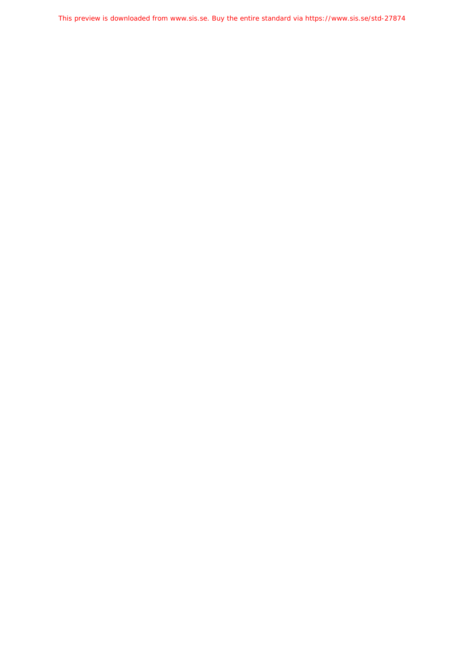This preview is downloaded from www.sis.se. Buy the entire standard via https://www.sis.se/std-27874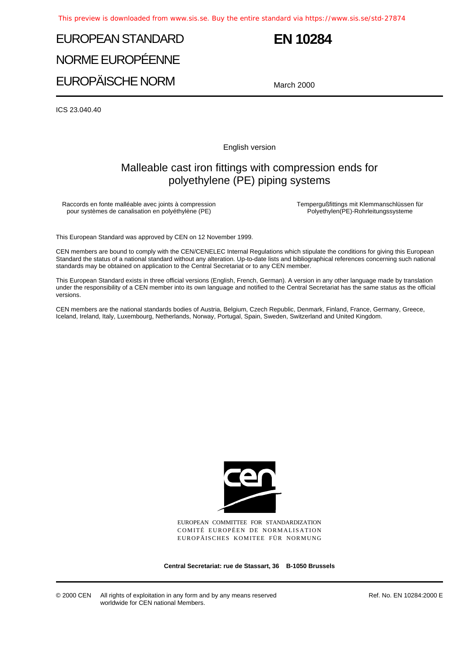# EUROPEAN STANDARD NORME EUROPÉENNE EUROPÄISCHE NORM

# **EN 10284**

March 2000

ICS 23.040.40

English version

# Malleable cast iron fittings with compression ends for polyethylene (PE) piping systems

Raccords en fonte malléable avec joints à compression pour systèmes de canalisation en polyéthylène (PE)

Tempergußfittings mit Klemmanschlüssen für Polyethylen(PE)-Rohrleitungssysteme

This European Standard was approved by CEN on 12 November 1999.

CEN members are bound to comply with the CEN/CENELEC Internal Regulations which stipulate the conditions for giving this European Standard the status of a national standard without any alteration. Up-to-date lists and bibliographical references concerning such national standards may be obtained on application to the Central Secretariat or to any CEN member.

This European Standard exists in three official versions (English, French, German). A version in any other language made by translation under the responsibility of a CEN member into its own language and notified to the Central Secretariat has the same status as the official versions.

CEN members are the national standards bodies of Austria, Belgium, Czech Republic, Denmark, Finland, France, Germany, Greece, Iceland, Ireland, Italy, Luxembourg, Netherlands, Norway, Portugal, Spain, Sweden, Switzerland and United Kingdom.



EUROPEAN COMMITTEE FOR STANDARDIZATION COMITÉ EUROPÉEN DE NORMALISATION EUROPÄISCHES KOMITEE FÜR NORMUNG

**Central Secretariat: rue de Stassart, 36 B-1050 Brussels**

© 2000 CEN All rights of exploitation in any form and by any means reserved worldwide for CEN national Members.

Ref. No. EN 10284:2000 E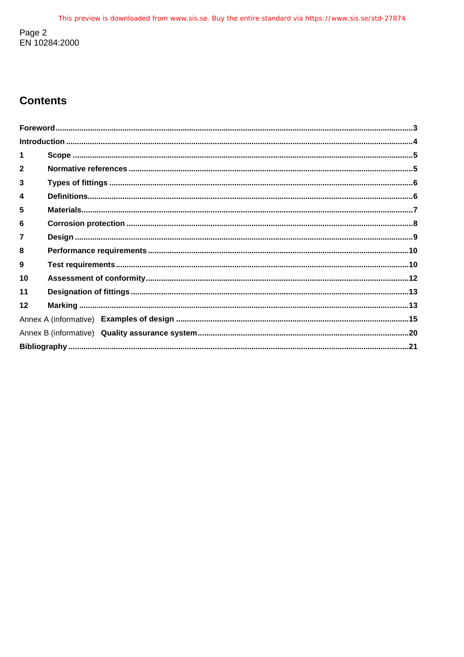Page 2<br>EN 10284:2000

# **Contents**

| 1              |  |  |  |
|----------------|--|--|--|
| $\overline{2}$ |  |  |  |
| 3              |  |  |  |
| 4              |  |  |  |
| 5              |  |  |  |
| 6              |  |  |  |
| $\overline{7}$ |  |  |  |
| 8              |  |  |  |
| 9              |  |  |  |
| 10             |  |  |  |
| 11             |  |  |  |
| 12             |  |  |  |
|                |  |  |  |
|                |  |  |  |
|                |  |  |  |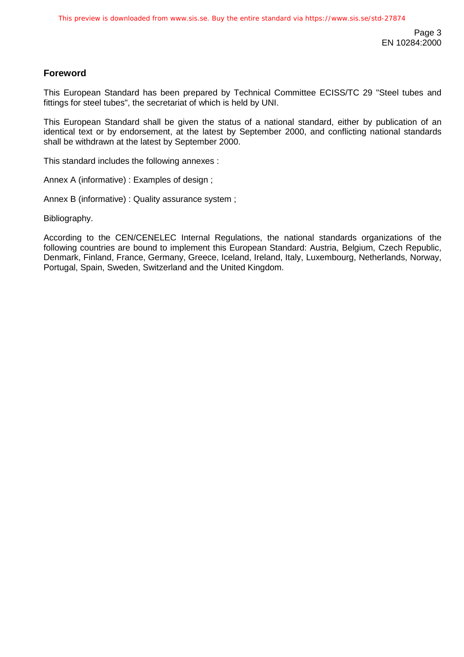# **Foreword**

This European Standard has been prepared by Technical Committee ECISS/TC 29 "Steel tubes and fittings for steel tubes", the secretariat of which is held by UNI.

This European Standard shall be given the status of a national standard, either by publication of an identical text or by endorsement, at the latest by September 2000, and conflicting national standards shall be withdrawn at the latest by September 2000.

This standard includes the following annexes :

Annex A (informative) : Examples of design ;

Annex B (informative) : Quality assurance system ;

Bibliography.

According to the CEN/CENELEC Internal Regulations, the national standards organizations of the following countries are bound to implement this European Standard: Austria, Belgium, Czech Republic, Denmark, Finland, France, Germany, Greece, Iceland, Ireland, Italy, Luxembourg, Netherlands, Norway, Portugal, Spain, Sweden, Switzerland and the United Kingdom.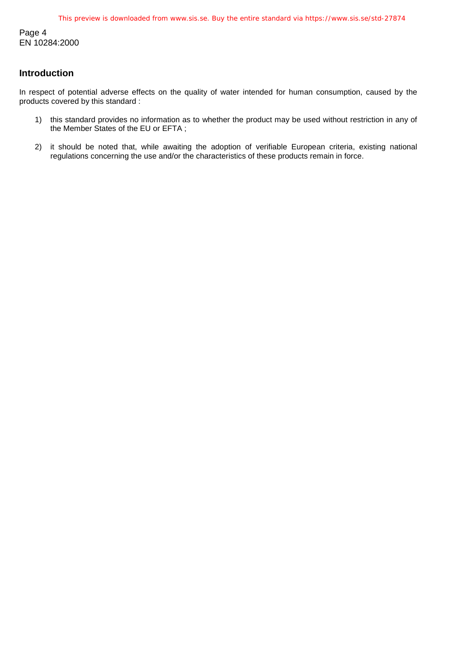Page 4 EN 10284:2000

# **Introduction**

In respect of potential adverse effects on the quality of water intended for human consumption, caused by the products covered by this standard :

- 1) this standard provides no information as to whether the product may be used without restriction in any of the Member States of the EU or EFTA ;
- 2) it should be noted that, while awaiting the adoption of verifiable European criteria, existing national regulations concerning the use and/or the characteristics of these products remain in force.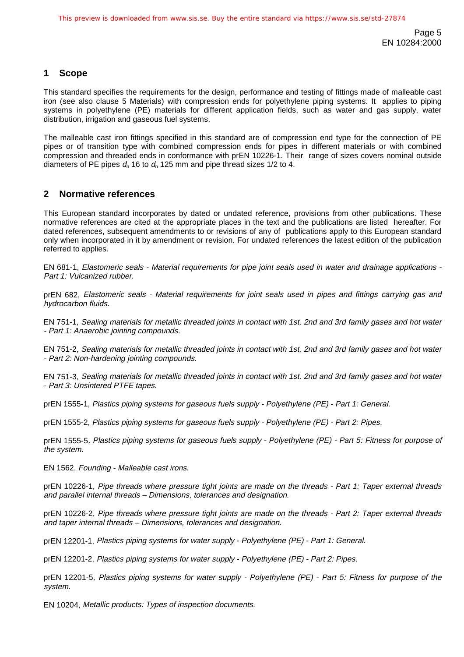Page 5 EN 10284:2000

# **1 Scope**

This standard specifies the requirements for the design, performance and testing of fittings made of malleable cast iron (see also clause 5 Materials) with compression ends for polyethylene piping systems. It applies to piping systems in polyethylene (PE) materials for different application fields, such as water and gas supply, water distribution, irrigation and gaseous fuel systems.

The malleable cast iron fittings specified in this standard are of compression end type for the connection of PE pipes or of transition type with combined compression ends for pipes in different materials or with combined compression and threaded ends in conformance with prEN 10226-1. Their range of sizes covers nominal outside diameters of PE pipes  $d_n$  16 to  $d_n$  125 mm and pipe thread sizes 1/2 to 4.

# **2 Normative references**

This European standard incorporates by dated or undated reference, provisions from other publications. These normative references are cited at the appropriate places in the text and the publications are listed hereafter. For dated references, subsequent amendments to or revisions of any of publications apply to this European standard only when incorporated in it by amendment or revision. For undated references the latest edition of the publication referred to applies.

EN 681-1, Elastomeric seals - Material requirements for pipe joint seals used in water and drainage applications - Part 1: Vulcanized rubber.

prEN 682, Elastomeric seals - Material requirements for joint seals used in pipes and fittings carrying gas and hydrocarbon fluids.

EN 751-1, Sealing materials for metallic threaded joints in contact with 1st, 2nd and 3rd family gases and hot water - Part 1: Anaerobic jointing compounds.

EN 751-2, Sealing materials for metallic threaded joints in contact with 1st, 2nd and 3rd family gases and hot water - Part 2: Non-hardening jointing compounds.

EN 751-3, Sealing materials for metallic threaded joints in contact with 1st, 2nd and 3rd family gases and hot water - Part 3: Unsintered PTFE tapes.

prEN 1555-1, Plastics piping systems for gaseous fuels supply - Polyethylene (PE) - Part 1: General.

prEN 1555-2, Plastics piping systems for gaseous fuels supply - Polyethylene (PE) - Part 2: Pipes.

prEN 1555-5, Plastics piping systems for gaseous fuels supply - Polyethylene (PE) - Part 5: Fitness for purpose of the system.

EN 1562, Founding - Malleable cast irons.

prEN 10226-1, Pipe threads where pressure tight joints are made on the threads - Part 1: Taper external threads and parallel internal threads – Dimensions, tolerances and designation.

prEN 10226-2, Pipe threads where pressure tight joints are made on the threads - Part 2: Taper external threads and taper internal threads – Dimensions, tolerances and designation.

prEN 12201-1, Plastics piping systems for water supply - Polyethylene (PE) - Part 1: General.

prEN 12201-2, Plastics piping systems for water supply - Polyethylene (PE) - Part 2: Pipes.

prEN 12201-5, Plastics piping systems for water supply - Polyethylene (PE) - Part 5: Fitness for purpose of the system.

EN 10204, Metallic products: Types of inspection documents.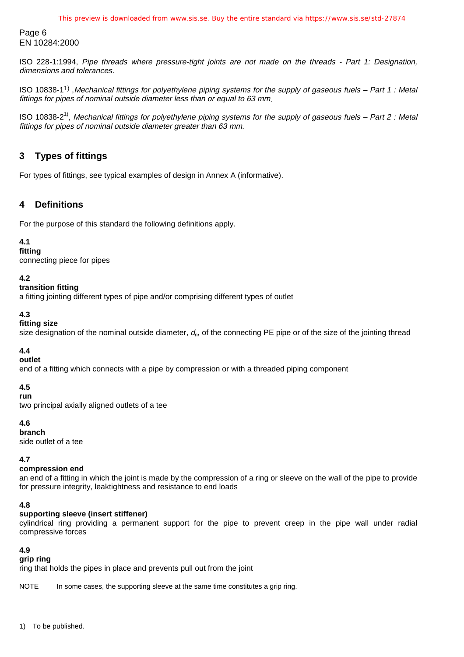Page 6 EN 10284:2000

ISO 228-1:1994, Pipe threads where pressure-tight joints are not made on the threads - Part 1: Designation, dimensions and tolerances.

ISO 10838-11) ,Mechanical fittings for polyethylene piping systems for the supply of gaseous fuels – Part 1 : Metal fittings for pipes of nominal outside diameter less than or equal to 63 mm.

ISO 10838-2<sup>1)</sup>, Mechanical fittings for polyethylene piping systems for the supply of gaseous fuels – Part 2 : Metal fittings for pipes of nominal outside diameter greater than 63 mm.

# **3 Types of fittings**

For types of fittings, see typical examples of design in Annex A (informative).

# **4 Definitions**

For the purpose of this standard the following definitions apply.

#### **4.1**

**fitting**

connecting piece for pipes

#### **4.2**

#### **transition fitting**

a fitting jointing different types of pipe and/or comprising different types of outlet

#### **4.3**

#### **fitting size**

size designation of the nominal outside diameter,  $d_n$ , of the connecting PE pipe or of the size of the jointing thread

#### **4.4**

#### **outlet**

end of a fitting which connects with a pipe by compression or with a threaded piping component

# **4.5**

**run**

two principal axially aligned outlets of a tee

#### **4.6**

**branch**

side outlet of a tee

#### **4.7**

#### **compression end**

an end of a fitting in which the joint is made by the compression of a ring or sleeve on the wall of the pipe to provide for pressure integrity, leaktightness and resistance to end loads

#### **4.8**

#### **supporting sleeve (insert stiffener)**

cylindrical ring providing a permanent support for the pipe to prevent creep in the pipe wall under radial compressive forces

## **4.9**

l

# **grip ring**

ring that holds the pipes in place and prevents pull out from the joint

NOTE In some cases, the supporting sleeve at the same time constitutes a grip ring.

1) To be published.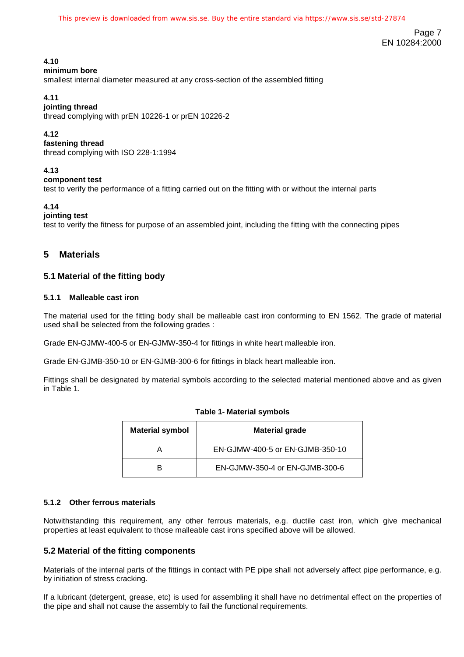Page 7 EN 10284:2000

#### **4.10**

#### **minimum bore**

smallest internal diameter measured at any cross-section of the assembled fitting

#### **4.11**

#### **jointing thread**

thread complying with prEN 10226-1 or prEN 10226-2

#### **4.12**

#### **fastening thread**

thread complying with ISO 228-1:1994

#### **4.13**

#### **component test**

test to verify the performance of a fitting carried out on the fitting with or without the internal parts

#### **4.14**

**jointing test**

test to verify the fitness for purpose of an assembled joint, including the fitting with the connecting pipes

# **5 Materials**

#### **5.1 Material of the fitting body**

#### **5.1.1 Malleable cast iron**

The material used for the fitting body shall be malleable cast iron conforming to EN 1562. The grade of material used shall be selected from the following grades :

Grade EN-GJMW-400-5 or EN-GJMW-350-4 for fittings in white heart malleable iron.

Grade EN-GJMB-350-10 or EN-GJMB-300-6 for fittings in black heart malleable iron.

Fittings shall be designated by material symbols according to the selected material mentioned above and as given in Table 1.

| <b>Material symbol</b> | <b>Material grade</b>           |
|------------------------|---------------------------------|
|                        | EN-GJMW-400-5 or EN-GJMB-350-10 |
|                        | EN-GJMW-350-4 or EN-GJMB-300-6  |

#### **Table 1- Material symbols**

#### **5.1.2 Other ferrous materials**

Notwithstanding this requirement, any other ferrous materials, e.g. ductile cast iron, which give mechanical properties at least equivalent to those malleable cast irons specified above will be allowed.

#### **5.2 Material of the fitting components**

Materials of the internal parts of the fittings in contact with PE pipe shall not adversely affect pipe performance, e.g. by initiation of stress cracking.

If a lubricant (detergent, grease, etc) is used for assembling it shall have no detrimental effect on the properties of the pipe and shall not cause the assembly to fail the functional requirements.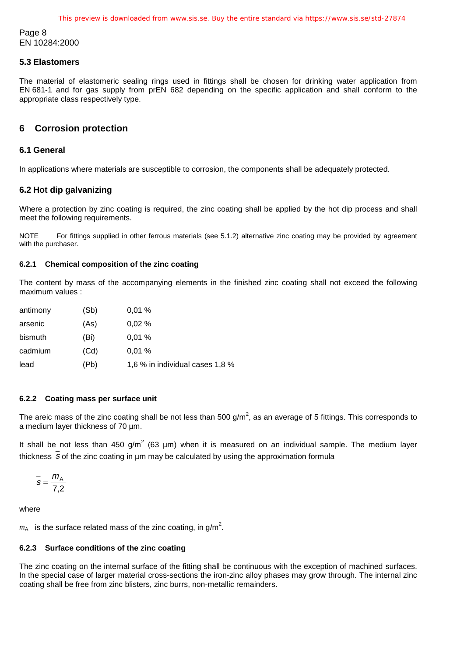Page 8 EN 10284:2000

#### **5.3 Elastomers**

The material of elastomeric sealing rings used in fittings shall be chosen for drinking water application from EN 681-1 and for gas supply from prEN 682 depending on the specific application and shall conform to the appropriate class respectively type.

## **6 Corrosion protection**

#### **6.1 General**

In applications where materials are susceptible to corrosion, the components shall be adequately protected.

#### **6.2 Hot dip galvanizing**

Where a protection by zinc coating is required, the zinc coating shall be applied by the hot dip process and shall meet the following requirements.

NOTE For fittings supplied in other ferrous materials (see 5.1.2) alternative zinc coating may be provided by agreement with the purchaser.

#### **6.2.1 Chemical composition of the zinc coating**

The content by mass of the accompanying elements in the finished zinc coating shall not exceed the following maximum values :

| antimony | (Sb) | 0,01%                           |
|----------|------|---------------------------------|
| arsenic  | (As) | $0.02 \%$                       |
| bismuth  | (Bi) | 0.01%                           |
| cadmium  | (Cd) | 0.01%                           |
| lead     | (Pb) | 1,6 % in individual cases 1,8 % |

#### **6.2.2 Coating mass per surface unit**

The areic mass of the zinc coating shall be not less than 500 g/m<sup>2</sup>, as an average of 5 fittings. This corresponds to a medium layer thickness of 70 µm.

It shall be not less than 450 g/m<sup>2</sup> (63 µm) when it is measured on an individual sample. The medium layer thickness s of the zinc coating in um may be calculated by using the approximation formula

$$
s = \frac{m_{\rm A}}{7,2}
$$

where

 $m_\textsf{A}~$  is the surface related mass of the zinc coating, in g/m<sup>2</sup>.

#### **6.2.3 Surface conditions of the zinc coating**

The zinc coating on the internal surface of the fitting shall be continuous with the exception of machined surfaces. In the special case of larger material cross-sections the iron-zinc alloy phases may grow through. The internal zinc coating shall be free from zinc blisters, zinc burrs, non-metallic remainders.